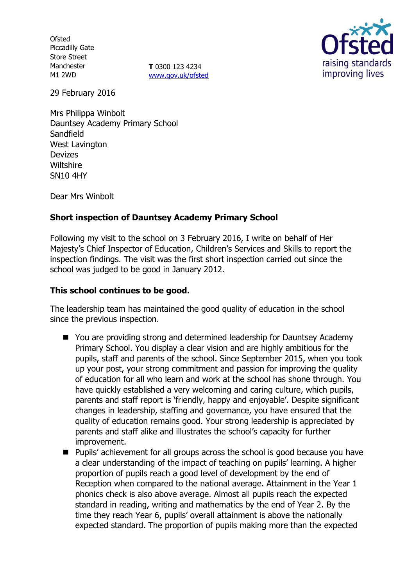**Ofsted** Piccadilly Gate Store Street Manchester M1 2WD

**T** 0300 123 4234 [www.gov.uk/ofsted](http://www.gov.uk/ofsted)



29 February 2016

Mrs Philippa Winbolt Dauntsey Academy Primary School Sandfield West Lavington Devizes **Wiltshire** SN10 4HY

Dear Mrs Winbolt

## **Short inspection of Dauntsey Academy Primary School**

Following my visit to the school on 3 February 2016, I write on behalf of Her Majesty's Chief Inspector of Education, Children's Services and Skills to report the inspection findings. The visit was the first short inspection carried out since the school was judged to be good in January 2012.

#### **This school continues to be good.**

The leadership team has maintained the good quality of education in the school since the previous inspection.

- You are providing strong and determined leadership for Dauntsey Academy Primary School. You display a clear vision and are highly ambitious for the pupils, staff and parents of the school. Since September 2015, when you took up your post, your strong commitment and passion for improving the quality of education for all who learn and work at the school has shone through. You have quickly established a very welcoming and caring culture, which pupils, parents and staff report is 'friendly, happy and enjoyable'. Despite significant changes in leadership, staffing and governance, you have ensured that the quality of education remains good. Your strong leadership is appreciated by parents and staff alike and illustrates the school's capacity for further improvement.
- Pupils' achievement for all groups across the school is good because you have a clear understanding of the impact of teaching on pupils' learning. A higher proportion of pupils reach a good level of development by the end of Reception when compared to the national average. Attainment in the Year 1 phonics check is also above average. Almost all pupils reach the expected standard in reading, writing and mathematics by the end of Year 2. By the time they reach Year 6, pupils' overall attainment is above the nationally expected standard. The proportion of pupils making more than the expected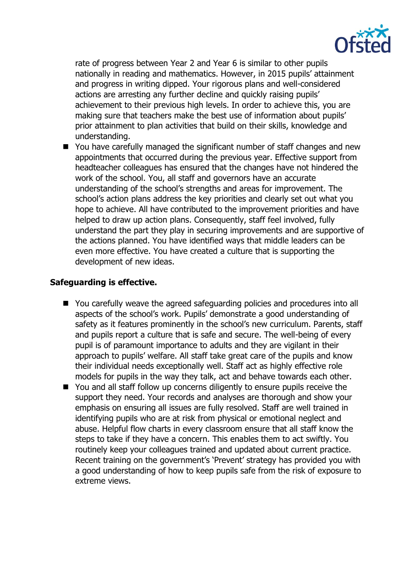

rate of progress between Year 2 and Year 6 is similar to other pupils nationally in reading and mathematics. However, in 2015 pupils' attainment and progress in writing dipped. Your rigorous plans and well-considered actions are arresting any further decline and quickly raising pupils' achievement to their previous high levels. In order to achieve this, you are making sure that teachers make the best use of information about pupils' prior attainment to plan activities that build on their skills, knowledge and understanding.

■ You have carefully managed the significant number of staff changes and new appointments that occurred during the previous year. Effective support from headteacher colleagues has ensured that the changes have not hindered the work of the school. You, all staff and governors have an accurate understanding of the school's strengths and areas for improvement. The school's action plans address the key priorities and clearly set out what you hope to achieve. All have contributed to the improvement priorities and have helped to draw up action plans. Consequently, staff feel involved, fully understand the part they play in securing improvements and are supportive of the actions planned. You have identified ways that middle leaders can be even more effective. You have created a culture that is supporting the development of new ideas.

## **Safeguarding is effective.**

- You carefully weave the agreed safeguarding policies and procedures into all aspects of the school's work. Pupils' demonstrate a good understanding of safety as it features prominently in the school's new curriculum. Parents, staff and pupils report a culture that is safe and secure. The well-being of every pupil is of paramount importance to adults and they are vigilant in their approach to pupils' welfare. All staff take great care of the pupils and know their individual needs exceptionally well. Staff act as highly effective role models for pupils in the way they talk, act and behave towards each other.
- You and all staff follow up concerns diligently to ensure pupils receive the support they need. Your records and analyses are thorough and show your emphasis on ensuring all issues are fully resolved. Staff are well trained in identifying pupils who are at risk from physical or emotional neglect and abuse. Helpful flow charts in every classroom ensure that all staff know the steps to take if they have a concern. This enables them to act swiftly. You routinely keep your colleagues trained and updated about current practice. Recent training on the government's 'Prevent' strategy has provided you with a good understanding of how to keep pupils safe from the risk of exposure to extreme views.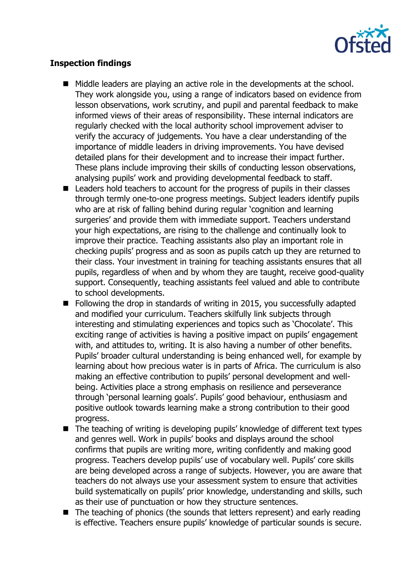

## **Inspection findings**

- Middle leaders are playing an active role in the developments at the school. They work alongside you, using a range of indicators based on evidence from lesson observations, work scrutiny, and pupil and parental feedback to make informed views of their areas of responsibility. These internal indicators are regularly checked with the local authority school improvement adviser to verify the accuracy of judgements. You have a clear understanding of the importance of middle leaders in driving improvements. You have devised detailed plans for their development and to increase their impact further. These plans include improving their skills of conducting lesson observations, analysing pupils' work and providing developmental feedback to staff.
- Leaders hold teachers to account for the progress of pupils in their classes through termly one-to-one progress meetings. Subject leaders identify pupils who are at risk of falling behind during regular 'cognition and learning surgeries' and provide them with immediate support. Teachers understand your high expectations, are rising to the challenge and continually look to improve their practice. Teaching assistants also play an important role in checking pupils' progress and as soon as pupils catch up they are returned to their class. Your investment in training for teaching assistants ensures that all pupils, regardless of when and by whom they are taught, receive good-quality support. Consequently, teaching assistants feel valued and able to contribute to school developments.
- Following the drop in standards of writing in 2015, you successfully adapted and modified your curriculum. Teachers skilfully link subjects through interesting and stimulating experiences and topics such as 'Chocolate'. This exciting range of activities is having a positive impact on pupils' engagement with, and attitudes to, writing. It is also having a number of other benefits. Pupils' broader cultural understanding is being enhanced well, for example by learning about how precious water is in parts of Africa. The curriculum is also making an effective contribution to pupils' personal development and wellbeing. Activities place a strong emphasis on resilience and perseverance through 'personal learning goals'. Pupils' good behaviour, enthusiasm and positive outlook towards learning make a strong contribution to their good progress.
- The teaching of writing is developing pupils' knowledge of different text types and genres well. Work in pupils' books and displays around the school confirms that pupils are writing more, writing confidently and making good progress. Teachers develop pupils' use of vocabulary well. Pupils' core skills are being developed across a range of subjects. However, you are aware that teachers do not always use your assessment system to ensure that activities build systematically on pupils' prior knowledge, understanding and skills, such as their use of punctuation or how they structure sentences.
- The teaching of phonics (the sounds that letters represent) and early reading is effective. Teachers ensure pupils' knowledge of particular sounds is secure.